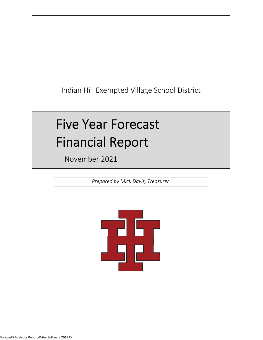Indian Hill Exempted Village School District

# Five Year Forecast Financial Report

November 2021

*Prepared by Mick Davis, Treasurer*

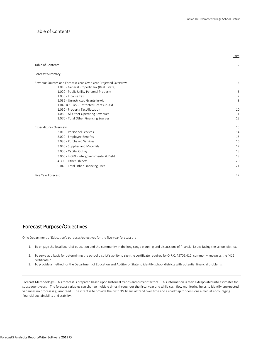Page

#### Table of Contents

| Table of Contents                                              | $\overline{2}$ |
|----------------------------------------------------------------|----------------|
| Forecast Summary                                               | 3              |
| Revenue Sources and Forecast Year-Over-Year Projected Overview | 4              |
| 1.010 - General Property Tax (Real Estate)                     | 5              |
| 1.020 - Public Utility Personal Property<br>1.030 - Income Tax | 6<br>7         |
| 1.035 - Unrestricted Grants-in-Aid                             | 8              |
| 1.040 & 1.045 - Restricted Grants-in-Aid                       | 9              |
| 1.050 - Property Tax Allocation                                | 10             |
| 1.060 - All Other Operating Revenues                           | 11             |
| 2.070 - Total Other Financing Sources                          | 12             |
| <b>Expenditures Overview</b>                                   | 13             |
| 3.010 - Personnel Services                                     | 14             |
|                                                                |                |
| 3.020 - Employee Benefits                                      | 15             |
| 3.030 - Purchased Services                                     | 16             |
| 3.040 - Supplies and Materials                                 | 17             |
| 3.050 - Capital Outlay                                         | 18             |
| 3.060 - 4.060 - Intergovernmental & Debt                       | 19             |
| 4.300 - Other Objects                                          | 20             |
| 5.040 - Total Other Financing Uses                             | 21             |
| Five Year Forecast                                             | 22             |

## Forecast Purpose/Objectives

Ohio Department of Education's purposes/objectives for the five‐year forecast are:

- 1. To engage the local board of education and the community in the long range planning and discussions of financial issues facing the school district.
- 2. To serve as a basis for determining the school district's ability to sign the certificate required by O.R.C. §5705.412, commonly known as the "412 certificate."
- 3. To provide a method for the Department of Education and Auditor of State to identify school districts with potential financial problems.

Forecast Methodology ‐ This forecast is prepared based upon historical trends and current factors. This information is then extrapolated into estimates for subsequent years. The forecast variables can change multiple times throughout the fiscal year and while cash flow monitoring helps to identify unexpected variances no process is guaranteed. The intent is to provide the district's financial trend over time and a roadmap for decisions aimed at encouraging financial sustainability and stability.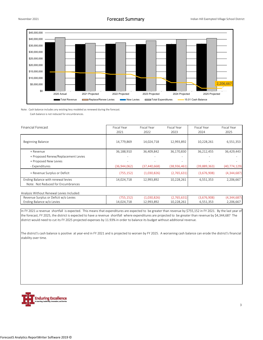

Note: Cash balance includes any existing levy modeled as renewed during the forecast.

Cash balance is not reduced for encumbrances.

| <b>Financial Forecast</b>                                                | Fiscal Year  | Fiscal Year    | Fiscal Year              | Fiscal Year  | Fiscal Year    |
|--------------------------------------------------------------------------|--------------|----------------|--------------------------|--------------|----------------|
|                                                                          | 2021         | 2022           | 2023                     | 2024         | 2025           |
| <b>Beginning Balance</b>                                                 | 14,779,869   | 14,024,718     | 12,993,892               | 10,228,261   | 6,551,353      |
| + Revenue                                                                | 36,188,910   | 36,409,842     | 36,170,830               | 36,212,455   | 36,429,443     |
| + Proposed Renew/Replacement Levies                                      | ۰            |                | -                        |              |                |
| + Proposed New Levies                                                    | -            |                | $\overline{\phantom{a}}$ |              |                |
| - Expenditures                                                           | (36,944,062) | (37, 440, 668) | (38, 936, 461)           | (39,889,363) | (40, 774, 129) |
| = Revenue Surplus or Deficit                                             | (755, 152)   | (1,030,826)    | (2,765,631)              | (3,676,908)  | (4,344,687)    |
| Ending Balance with renewal levies<br>Note: Not Reduced for Encumbrances | 14,024,718   | 12,993,892     | 10,228,261               | 6,551,353    | 2,206,667      |

Analysis Without Renewal Levies Included:

Revenue Surplus or Deficit w/o Levies **and Access 10 (255,152)** (1,030,826) (2,765,631) (3,676,908) (4,344,687 Ending Balance w/o Levies 11 14,024,718 12,993,892 10,228,261 6,551,353 2,206,667

In FY 2021 a revenue shortfall is expected. This means that expenditures are expected to be greater than revenue by \$755,152 in FY 2021. By the last year of the forecast, FY 2025, the district is expected to have a revenue shortfall where expenditures are projected to be greater than revenue by \$4,344,687 The district would need to cut its FY 2025 projected expenses by 11.93% in order to balance its budget without additional revenue.

The district's cash balance is positive at year‐end in FY 2021 and is projected to worsen by FY 2025. A worsening cash balance can erode the district's financial stability over time.

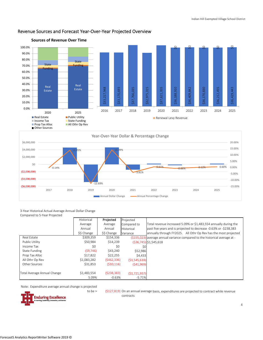

## Revenue Sources and Forecast Year‐Over‐Year Projected Overview

#### 3‐Year Historical Actual Average Annual Dollar Change Compared to 5‐Year Projected

(\$6,000,000) (\$4,000,000) (\$2,000,000)

| Compared to 5-Year Projected |             |             |                |                                                                             |
|------------------------------|-------------|-------------|----------------|-----------------------------------------------------------------------------|
|                              | Historical  | Projected   | Projected      |                                                                             |
|                              | Average     | Average     | Compared to    | Total revenue increased 5.09% or \$1,483,554 annually during the            |
|                              | Annual      | Annual      | Historical     | past five years and is projected to decrease -0.63% or -\$238,383           |
|                              | \$\$ Change | \$\$ Change | Variance       | annually through FY2025. All Othr Op Rev has the most projected             |
| Real Estate                  | \$309,359   | \$154,336   |                | (\$155,023) average annual variance compared to the historical average at - |
| Public Utility               | \$50,984    | \$14,239    |                | $(S36.745)$ \$1,545,618                                                     |
| Income Tax                   | \$0         | \$0         | \$0l           |                                                                             |
| State Funding                | (59, 746)   | \$43,240    | \$52,986       |                                                                             |
| Prop Tax Alloc               | \$17,822    | \$22,255    | \$4,433        |                                                                             |
| All Othr Op Rev              | \$1,083,282 | (5462, 336) | (51, 545, 618) |                                                                             |
| Other Sources                | \$31,853    | (510, 116)  | (541,969)      |                                                                             |
| Total Average Annual Change  | \$1,483,554 | (5238, 383) | (51, 721, 937) |                                                                             |
|                              | 5.09%       | $-0.63%$    | $-5.71%$       |                                                                             |

‐3.81%

2017 2018 2019 2020 2021 2022 2023 2024 2025

Note: Expenditure average annual change is projected

‐12.69%



to be > (\$127,819) On an annual average basis, expenditures are projected to contract while revenue contracts

‐15.00% ‐10.00% ‐5.00%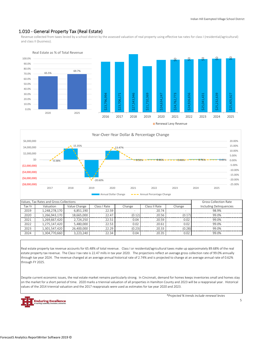#### 1.010 ‐ General Property Tax (Real Estate)

Revenue collected from taxes levied by a school district by the assessed valuation of real property using effective tax rates for class I (residential/agricultural) and class II (business).





|        | Values, Tax Rates and Gross Collections | <b>Gross Collection Rate</b> |              |                          |               |                          |                         |
|--------|-----------------------------------------|------------------------------|--------------|--------------------------|---------------|--------------------------|-------------------------|
| Tax Yr | Valuation                               | Value Change                 | Class I Rate | Change                   | Class II Rate | Change                   | Including Delinguencies |
| 2019   | 1,248,278,170                           | 6.851.190                    | 22.59        | $\overline{\phantom{a}}$ | 20.74         | $\overline{\phantom{a}}$ | 98.9%                   |
| 2020   | 1,266,943,170                           | 18,665,000                   | 22.47        | (0.12)                   | 20.56         | (0.17)                   | 99.0%                   |
| 2021   | 1,269,667,420                           | 2,724,250                    | 22.51        | 0.04                     | 20.59         | 0.02                     | 99.0%                   |
| 2022   | 1,275,147,420                           | 5.480.000                    | 22.53        | 0.02                     | 20.61         | 0.02                     | 99.0%                   |
| 2023   | 1.301.547.420                           | 26,400,000                   | 22.29        | (0.23)                   | 20.33         | (0.28)                   | 99.0%                   |
| 2024   | 1,304,770,660                           | 3,223,240                    | 22.34        | 0.04                     | 20.35         | 0.02                     | 99.0%                   |

Real estate property tax revenue accounts for 65.48% of total revenue. Class I or residential/agricultural taxes make up approximately 89.68% of the real estate property tax revenue. The Class I tax rate is 22.47 mills in tax year 2020. The projections reflect an average gross collection rate of 99.0% annually through tax year 2024. The revenue changed at an average annual historical rate of 2.74% and is projected to change at an average annual rate of 0.62% through FY 2025.

Despite current economic issues, the real estate market remains particularly strong. In Cincinnati, demand for homes keeps inventories small and homes stay on the market for a short period of time. 2020 marks a triennial valuation of all properties in Hamilton County and 2023 will be a reappraisal year. Historical values of the 2014 triennial valuation and the 2017 reappraisals were used as estimates for tax year 2020 and 2023.

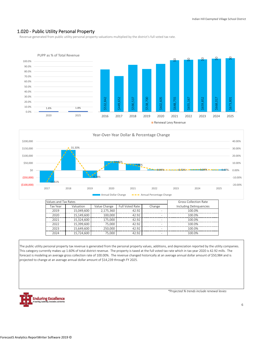#### 1.020 ‐ Public Utility Personal Property

Revenue generated from public utility personal property valuations multiplied by the district's full voted tax rate.





| Values and Tax Rates |            | <b>Gross Collection Rate</b> |                 |                          |                         |
|----------------------|------------|------------------------------|-----------------|--------------------------|-------------------------|
| Tax Year             | Valuation  | Value Change                 | Full Voted Rate | Change                   | Including Delinguencies |
| 2019                 | 15.049.600 | 2.175.360                    | 42.92           |                          | 100.0%                  |
| 2020                 | 15,149,600 | 100.000                      | 42.92           | -                        | 100.0%                  |
| 2021                 | 15,324,600 | 175.000                      | 42.92           | $\overline{\phantom{a}}$ | 100.0%                  |
| 2022                 | 15.399.600 | 75.000                       | 42.92           | ۰                        | 100.0%                  |
| 2023                 | 15.649.600 | 250.000                      | 42.92           | $\overline{\phantom{a}}$ | 100.0%                  |
| 2024                 | 15,724,600 | 75,000                       | 42.92           | ۰                        | 100.0%                  |

The public utility personal property tax revenue is generated from the personal property values, additions, and depreciation reported by the utility companies. This category currently makes up 1.60% of total district revenue. The property is taxed at the full voted tax rate which in tax year 2020 is 42.92 mills. The forecast is modeling an average gross collection rate of 100.00%. The revenue changed historically at an average annual dollar amount of \$50,984 and is projected to change at an average annual dollar amount of \$14,239 through FY 2025.

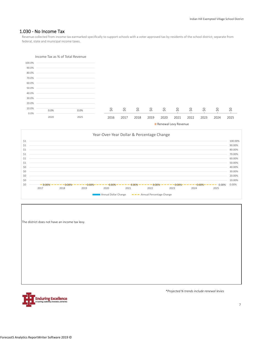#### 1.030 ‐ No Income Tax

Revenue collected from income tax earmarked specifically to support schools with a voter approved tax by residents of the school district; separate from federal, state and municipal income taxes.





The district does not have an income tax levy.

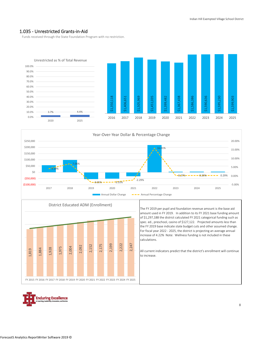#### 1.035 ‐ Unrestricted Grants‐in‐Aid

Funds received through the State Foundation Program with no restriction.







The FY 2019 per pupil and foundation revenue amount is the base aid amount used in FY 2019. In addition to its FY 2021 base funding amount of \$1,297,188 the district calculated FY 2021 categorical funding such as spec. ed., preschool, casino of \$127,122. Projected amounts less than the FY 2019 base indicate state budget cuts and other assumed change. For fiscal year 2022 ‐ 2025, the district is projecting an average annual increase of 4.22% Note: Wellness funding is not included in these calculations.

All current indicators predict that the district's enrollment will continue to increase.

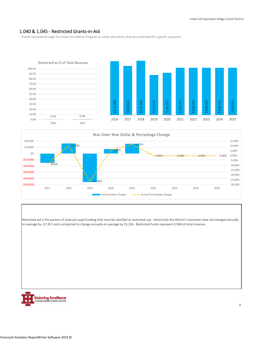#### 1.040 & 1.045 ‐ Restricted Grants‐in‐Aid

Funds received through the State Foundation Program or other allocations that are restricted for specific purposes.





Restricted aid is the portion of state per pupil funding that must be classifed as restricted use. Historically the district's restricted state aid changed annually on average by ‐\$7,357 and is projected to change annually on average by \$3,156. Restricted funds represent 0.36% of total revenue.

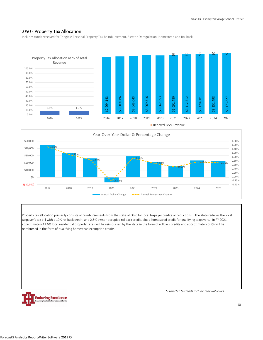#### 1.050 ‐ Property Tax Allocation

Includes funds received for Tangible Personal Property Tax Reimbursement, Electric Deregulation, Homestead and Rollback.





Property tax allocation primarily consists of reimbursements from the state of Ohio for local taxpayer credits or reductions. The state reduces the local taxpayer's tax bill with a 10% rollback credit, and 2.5% owner‐occupied rollback credit, plus a homestead credit for qualifying taxpayers. In FY 2021, approximately 11.6% local residential property taxes will be reimbursed by the state in the form of rollback credits and approximately 0.5% will be reimbursed in the form of qualifying homestead exemption credits.

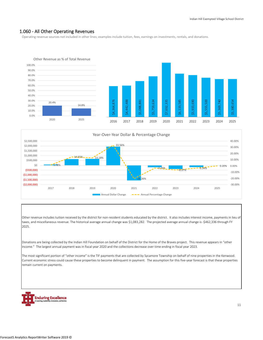#### 1.060 ‐ All Other Operating Revenues

Operating revenue sources not included in other lines; examples include tuition, fees, earnings on investments, rentals, and donations.





Other revenue includes tuition received by the district for non-resident students educated by the district. It also includes interest income, payments in lieu of taxes, and miscellaneous revenue. The historical average annual change was \$1,083,282. The projected average annual change is ‐\$462,336 through FY 2025.

Donations are being collected by the Indian Hill Foundation on behalf of the District for the Home of the Braves project. This revenue appears in "other income." The largest annual payment was in fiscal year 2020 and the collections decrease over time ending in fiscal year 2023.

The most significant portion of "other income" is the TIF payments that are collected by Sycamore Township on behalf of nine properties in the Kenwood. Current economic stress could cause these properties to become delinquent in payment. The assumption for this five‐year forecast is that these properties remain current on payments.

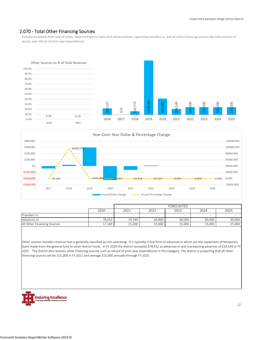#### 2.070 ‐ Total Other Financing Sources

Includes proceeds from sale of notes, state emergency loans and advancements, operating transfers‐in, and all other financing sources like sale and loss of assets, and refund of prior year expenditures.





|                             |        | FORECASTED               |        |        |        |        |  |  |  |
|-----------------------------|--------|--------------------------|--------|--------|--------|--------|--|--|--|
|                             | 2020   | 2021                     | 2022   | 2023   | 2024   | 2025   |  |  |  |
| Transfers In                |        | $\overline{\phantom{a}}$ |        |        | -      |        |  |  |  |
| Advances In                 | 78.412 | 19.549                   | 30,000 | 30.000 | 30,000 | 30,000 |  |  |  |
| All Other Financing Sources | 17,169 | 15,000                   | 15,000 | 15,000 | 15,000 | 15,000 |  |  |  |

Other sources includes revenue that is generally classified as non-operating. It is typically in the form of advances-in which are the repayment of temporary loans made from the general fund to other district funds. In FY 2020 the district receipted \$78,412 as advances-in and is projecting advances of \$19,549 in FY 2021. The district also receives other financing sources such as refund of prior year expenditures in this category. The district is projecting that all other financing sources will be \$15,000 in FY 2021 and average \$15,000 annually through FY 2025.

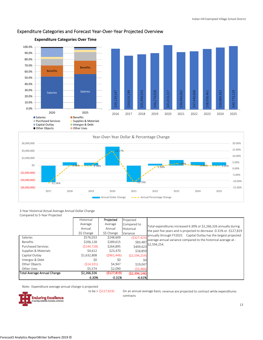

#### Expenditure Categories and Forecast Year‐Over‐Year Projected Overview



**Expenditure Categories Over Time**

3‐Year Historical Actual Average Annual Dollar Change

| Compared to 5-Year Projected |             |             |                |                                                                       |
|------------------------------|-------------|-------------|----------------|-----------------------------------------------------------------------|
|                              | Historical  | Projected   | Projected      |                                                                       |
|                              | Average     | Average     | Compared to    | Total expenditures increased 6.30% or \$2,266,326 annually during     |
|                              | Annual      | Annual      | Historical     | the past five years and is projected to decrease -0.31% or -\$127,819 |
|                              | \$\$ Change | \$\$ Change | Variance       | annually through FY2025. Capital Outlay has the largest projected     |
| Salaries                     | \$576,033   | \$248,609   | (5327, 424)    | average annual variance compared to the historical average at -       |
| <b>Benefits</b>              | \$206,128   | \$289,615   | \$83,487       | \$2,594,254.                                                          |
| <b>Purchased Services</b>    | (5144, 728) | \$264,895   | \$409,623      |                                                                       |
| Supplies & Materials         | \$4.612     | \$23,470    | \$18,859       |                                                                       |
| Capital Outlay               | \$1,632,808 | (5961, 446) | (52, 594, 254) |                                                                       |
| Intergov & Debt              | \$0         | \$0         | \$0            |                                                                       |
| Other Objects                | (514, 101)  | \$4,947     | \$19,047       |                                                                       |
| Other Uses                   | \$5,574     | \$2,090     | (53, 484)      |                                                                       |
| Total Average Annual Change  | \$2,266,326 | (5127, 819) | (52, 394, 146) |                                                                       |
|                              | 6.30%       | $-0.31%$    | $-6.61%$       |                                                                       |

Note: Expenditure average annual change is projected

to be  $>$  (\$127,819)



On an annual average basis, revenue are projected to contract while expenditures contracts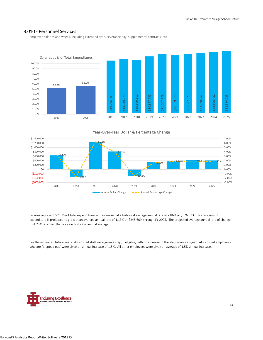#### 3.010 ‐ Personnel Services

Employee salaries and wages, including extended time, severance pay, supplemental contracts, etc.





Salaries represent 52.32% of total expenditures and increased at a historical average annual rate of 2.86% or \$576,033. This category of expenditure is projected to grow at an average annual rate of 1.13% or \$248,609 through FY 2025. The projected average annual rate of change is ‐1.73% less than the five year historical annual average.

For the estimated future years, all certified staff were given a step, if eligible, with no increase to the step year-over-year. All certified employees who are "stepped out" were given an annual increase of 1.5%. All other employees were given an average of 1.5% annual increase.

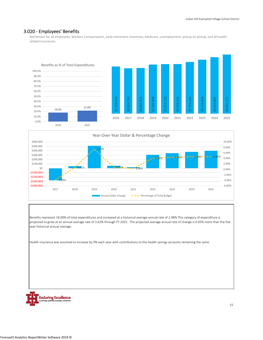#### 3.020 ‐ Employees' Benefits

Retirement for all employees, Workers Compensation, early retirement incentives, Medicare, unemployment, pickup on pickup, and all healthrelated insurances.





Benefits represent 18.00% of total expenditures and increased at a historical average annual rate of 2.98% This category of expenditure is projected to grow at an annual average rate of 3.63% through FY 2025. The projected average annual rate of change is 0.65% more than the five year historical annual average.

Health insurance was assumed to increase by 9% each year with contributions to the health savings accounts remaining the same.

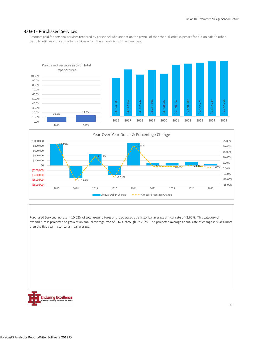#### 3.030 ‐ Purchased Services

Amounts paid for personal services rendered by personnel who are not on the payroll of the school district, expenses for tuition paid to other districts, utilities costs and other services which the school district may purchase.





Purchased Services represent 10.62% of total expenditures and decreased at a historical average annual rate of ‐2.62%. This category of expenditure is projected to grow at an annual average rate of 5.67% through FY 2025. The projected average annual rate of change is 8.28% more than the five year historical annual average.

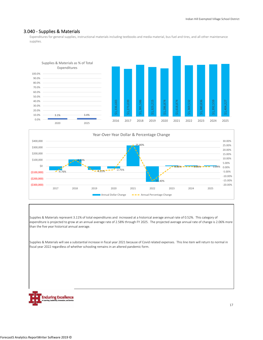#### 3.040 ‐ Supplies & Materials

Expenditures for general supplies, instructional materials including textbooks and media material, bus fuel and tires, and all other maintenance supplies.





Supplies & Materials represent 3.11% of total expenditures and increased at a historical average annual rate of 0.52%. This category of expenditure is projected to grow at an annual average rate of 2.58% through FY 2025. The projected average annual rate of change is 2.06% more than the five year historical annual average.

Supplies & Materials will see a substantial increase in fiscal year 2021 because of Covid related expenses. This line item will return to normal in fiscal year 2022 regardless of whether schooling remains in an altered pandemic form.

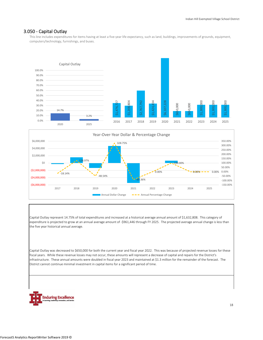#### 3.050 ‐ Capital Outlay

This line includes expenditures for items having at least a five-year life expectancy, such as land, buildings, improvements of grounds, equipment, computers/technology, furnishings, and buses.





Capital Outlay represent 14.75% of total expenditures and increased at a historical average annual amount of \$1,632,808. This category of expenditure is projected to grow at an annual average amount of ‐\$961,446 through FY 2025. The projected average annual change is less than the five year historical annual average.

Capital Outlay was decreased to \$650,000 for both the current year and fiscal year 2022. This was because of projected revenue losses for these fiscal years. While these revenue losses may not occur, these amounts will represent a decrease of capital and repairs for the District's infrastructure. These annual amounts were doubled in fiscal year 2023 and maintained at \$1.3 million for the remainder of the forecast. The District cannot continue minimal investment in capital items for a significant period of time.

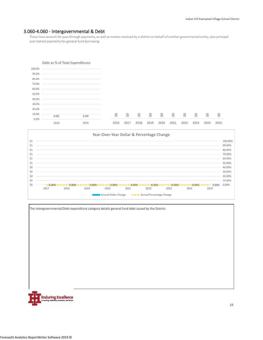#### 3.060‐4.060 ‐ Intergovernmental & Debt

These lines account for pass through payments, as well as monies received by a district on behalf of another governmental entity, plus principal and interest payments for general fund borrowing.





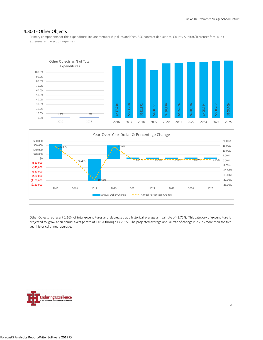#### 4.300 ‐ Other Objects

Primary components for this expenditure line are membership dues and fees, ESC contract deductions, County Auditor/Treasurer fees, audit expenses, and election expenses.





Other Objects represent 1.16% of total expenditures and decreased at a historical average annual rate of ‐1.75%. This category of expenditure is projected to grow at an annual average rate of 1.01% through FY 2025. The projected average annual rate of change is 2.76% more than the five year historical annual average.

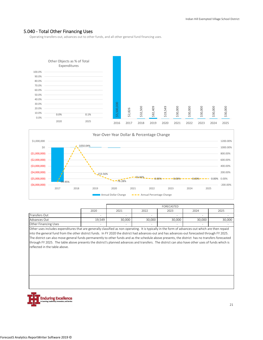#### 5.040 ‐ Total Other Financing Uses

Operating transfers‐out, advances out to other funds, and all other general fund financing uses.





|                      |                          | FORECASTED               |        |        |        |        |  |  |  |  |
|----------------------|--------------------------|--------------------------|--------|--------|--------|--------|--|--|--|--|
|                      | 2020                     | 2021                     | 2022   | 2023   | 2024   | 2025   |  |  |  |  |
| Transfers Out        | $\overline{\phantom{0}}$ | $\overline{\phantom{a}}$ | $\,$   | -      | -      |        |  |  |  |  |
| Advances Out         | 19.549                   | 30.000                   | 30.000 | 30.000 | 30.000 | 30,000 |  |  |  |  |
| Other Financing Uses | -                        |                          | -      |        |        |        |  |  |  |  |

Other uses includes expenditures that are generally classified as non‐operating. It is typically in the form of advances‐out which are then repaid into the general fund from the other district funds. In FY 2020 the district had advances-out and has advances-out forecasted through FY 2025. The district can also move general funds permanently to other funds and as the schedule above presents, the district has no transfers forecasted through FY 2025. The table above presents the district's planned advances and transfers. The district can also have other uses of funds which is reflected in the table above.